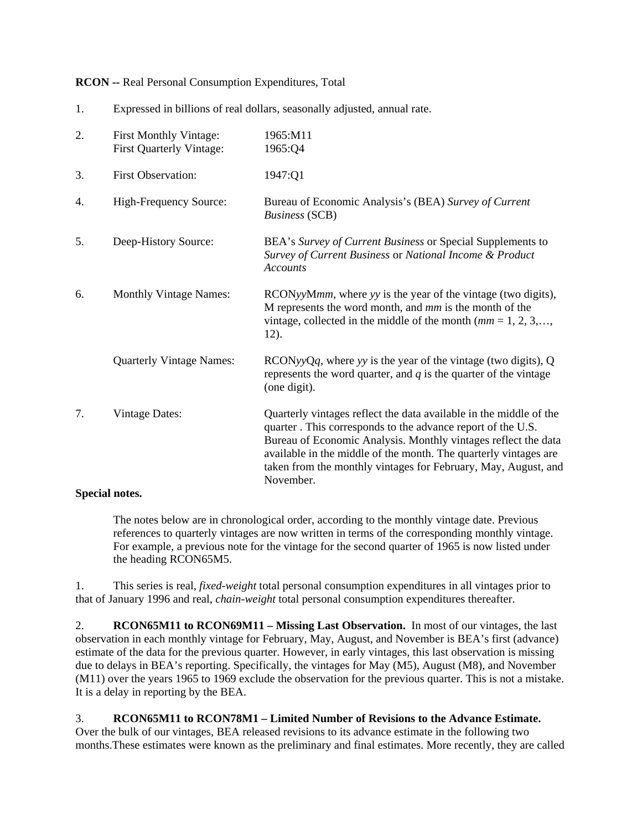**RCON --** Real Personal Consumption Expenditures, Total

| Expressed in billions of real dollars, seasonally adjusted, annual rate. |  |
|--------------------------------------------------------------------------|--|

| 2. | <b>First Monthly Vintage:</b><br><b>First Quarterly Vintage:</b> | 1965:M11<br>1965:Q4                                                                                                                                                                                                                                                                                                                                    |
|----|------------------------------------------------------------------|--------------------------------------------------------------------------------------------------------------------------------------------------------------------------------------------------------------------------------------------------------------------------------------------------------------------------------------------------------|
| 3. | <b>First Observation:</b>                                        | 1947:Q1                                                                                                                                                                                                                                                                                                                                                |
| 4. | High-Frequency Source:                                           | Bureau of Economic Analysis's (BEA) Survey of Current<br><b>Business</b> (SCB)                                                                                                                                                                                                                                                                         |
| 5. | Deep-History Source:                                             | BEA's Survey of Current Business or Special Supplements to<br>Survey of Current Business or National Income & Product<br><b>Accounts</b>                                                                                                                                                                                                               |
| 6. | <b>Monthly Vintage Names:</b>                                    | RCONyyMmm, where yy is the year of the vintage (two digits),<br>M represents the word month, and $mm$ is the month of the<br>vintage, collected in the middle of the month $(mm = 1, 2, 3, \dots,$<br>12).                                                                                                                                             |
|    | <b>Quarterly Vintage Names:</b>                                  | $RCONyyQq$ , where yy is the year of the vintage (two digits), Q<br>represents the word quarter, and $q$ is the quarter of the vintage<br>(one digit).                                                                                                                                                                                                 |
| 7. | <b>Vintage Dates:</b>                                            | Quarterly vintages reflect the data available in the middle of the<br>quarter. This corresponds to the advance report of the U.S.<br>Bureau of Economic Analysis. Monthly vintages reflect the data<br>available in the middle of the month. The quarterly vintages are<br>taken from the monthly vintages for February, May, August, and<br>November. |

## **Special notes.**

The notes below are in chronological order, according to the monthly vintage date. Previous references to quarterly vintages are now written in terms of the corresponding monthly vintage. For example, a previous note for the vintage for the second quarter of 1965 is now listed under the heading RCON65M5.

1. This series is real, *fixed-weight* total personal consumption expenditures in all vintages prior to that of January 1996 and real, *chain-weight* total personal consumption expenditures thereafter.

2. **RCON65M11 to RCON69M11 – Missing Last Observation.** In most of our vintages, the last observation in each monthly vintage for February, May, August, and November is BEA's first (advance) estimate of the data for the previous quarter. However, in early vintages, this last observation is missing due to delays in BEA's reporting. Specifically, the vintages for May (M5), August (M8), and November (M11) over the years 1965 to 1969 exclude the observation for the previous quarter. This is not a mistake. It is a delay in reporting by the BEA.

## 3. **RCON65M11 to RCON78M1 – Limited Number of Revisions to the Advance Estimate.**

Over the bulk of our vintages, BEA released revisions to its advance estimate in the following two months.These estimates were known as the preliminary and final estimates. More recently, they are called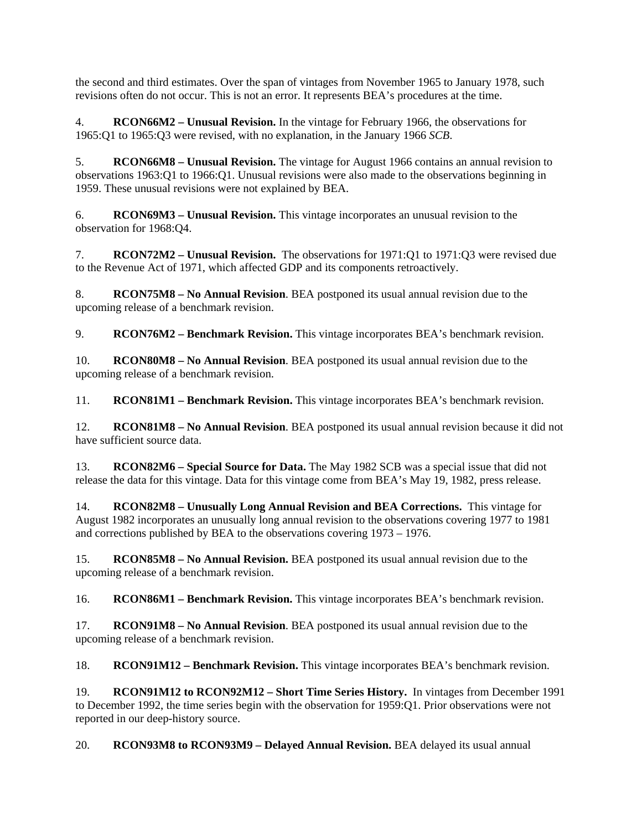the second and third estimates. Over the span of vintages from November 1965 to January 1978, such revisions often do not occur. This is not an error. It represents BEA's procedures at the time.

4. **RCON66M2 – Unusual Revision.** In the vintage for February 1966, the observations for 1965:Q1 to 1965:Q3 were revised, with no explanation, in the January 1966 *SCB*.

5. **RCON66M8 – Unusual Revision.** The vintage for August 1966 contains an annual revision to observations 1963:Q1 to 1966:Q1. Unusual revisions were also made to the observations beginning in 1959. These unusual revisions were not explained by BEA.

6. **RCON69M3 – Unusual Revision.** This vintage incorporates an unusual revision to the observation for 1968:Q4.

7. **RCON72M2 – Unusual Revision.** The observations for 1971:Q1 to 1971:Q3 were revised due to the Revenue Act of 1971, which affected GDP and its components retroactively.

8. **RCON75M8 – No Annual Revision**. BEA postponed its usual annual revision due to the upcoming release of a benchmark revision.

9. **RCON76M2 – Benchmark Revision.** This vintage incorporates BEA's benchmark revision.

10. **RCON80M8 – No Annual Revision**. BEA postponed its usual annual revision due to the upcoming release of a benchmark revision.

11. **RCON81M1 – Benchmark Revision.** This vintage incorporates BEA's benchmark revision.

12. **RCON81M8 – No Annual Revision**. BEA postponed its usual annual revision because it did not have sufficient source data.

13. **RCON82M6 – Special Source for Data.** The May 1982 SCB was a special issue that did not release the data for this vintage. Data for this vintage come from BEA's May 19, 1982, press release.

14. **RCON82M8 – Unusually Long Annual Revision and BEA Corrections.** This vintage for August 1982 incorporates an unusually long annual revision to the observations covering 1977 to 1981 and corrections published by BEA to the observations covering 1973 – 1976.

15. **RCON85M8 – No Annual Revision.** BEA postponed its usual annual revision due to the upcoming release of a benchmark revision.

16. **RCON86M1 – Benchmark Revision.** This vintage incorporates BEA's benchmark revision.

17. **RCON91M8 – No Annual Revision**. BEA postponed its usual annual revision due to the upcoming release of a benchmark revision.

18. **RCON91M12 – Benchmark Revision.** This vintage incorporates BEA's benchmark revision.

19. **RCON91M12 to RCON92M12 – Short Time Series History.** In vintages from December 1991 to December 1992, the time series begin with the observation for 1959:Q1. Prior observations were not reported in our deep-history source.

20. **RCON93M8 to RCON93M9 – Delayed Annual Revision.** BEA delayed its usual annual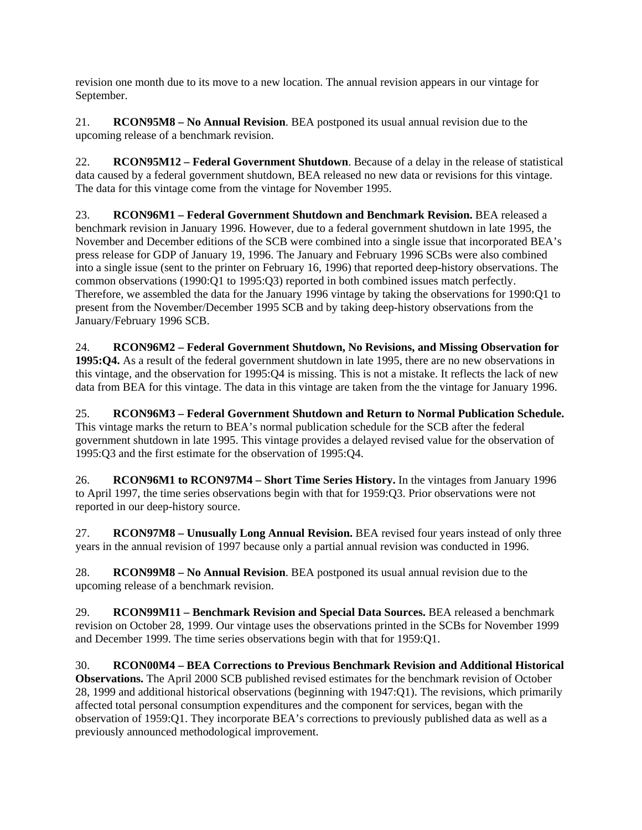revision one month due to its move to a new location. The annual revision appears in our vintage for September.

21. **RCON95M8 – No Annual Revision**. BEA postponed its usual annual revision due to the upcoming release of a benchmark revision.

22. **RCON95M12 – Federal Government Shutdown**. Because of a delay in the release of statistical data caused by a federal government shutdown, BEA released no new data or revisions for this vintage. The data for this vintage come from the vintage for November 1995.

23. **RCON96M1 – Federal Government Shutdown and Benchmark Revision.** BEA released a benchmark revision in January 1996. However, due to a federal government shutdown in late 1995, the November and December editions of the SCB were combined into a single issue that incorporated BEA's press release for GDP of January 19, 1996. The January and February 1996 SCBs were also combined into a single issue (sent to the printer on February 16, 1996) that reported deep-history observations. The common observations (1990:Q1 to 1995:Q3) reported in both combined issues match perfectly. Therefore, we assembled the data for the January 1996 vintage by taking the observations for 1990:Q1 to present from the November/December 1995 SCB and by taking deep-history observations from the January/February 1996 SCB.

24. **RCON96M2 – Federal Government Shutdown, No Revisions, and Missing Observation for 1995:Q4.** As a result of the federal government shutdown in late 1995, there are no new observations in this vintage, and the observation for 1995:Q4 is missing. This is not a mistake. It reflects the lack of new data from BEA for this vintage. The data in this vintage are taken from the the vintage for January 1996.

25. **RCON96M3 – Federal Government Shutdown and Return to Normal Publication Schedule.** This vintage marks the return to BEA's normal publication schedule for the SCB after the federal government shutdown in late 1995. This vintage provides a delayed revised value for the observation of 1995:Q3 and the first estimate for the observation of 1995:Q4.

26. **RCON96M1 to RCON97M4 – Short Time Series History.** In the vintages from January 1996 to April 1997, the time series observations begin with that for 1959:Q3. Prior observations were not reported in our deep-history source.

27. **RCON97M8 – Unusually Long Annual Revision.** BEA revised four years instead of only three years in the annual revision of 1997 because only a partial annual revision was conducted in 1996.

28. **RCON99M8 – No Annual Revision**. BEA postponed its usual annual revision due to the upcoming release of a benchmark revision.

29. **RCON99M11 – Benchmark Revision and Special Data Sources.** BEA released a benchmark revision on October 28, 1999. Our vintage uses the observations printed in the SCBs for November 1999 and December 1999. The time series observations begin with that for 1959:Q1.

30. **RCON00M4 – BEA Corrections to Previous Benchmark Revision and Additional Historical Observations.** The April 2000 SCB published revised estimates for the benchmark revision of October 28, 1999 and additional historical observations (beginning with 1947:Q1). The revisions, which primarily affected total personal consumption expenditures and the component for services, began with the observation of 1959:Q1. They incorporate BEA's corrections to previously published data as well as a previously announced methodological improvement.